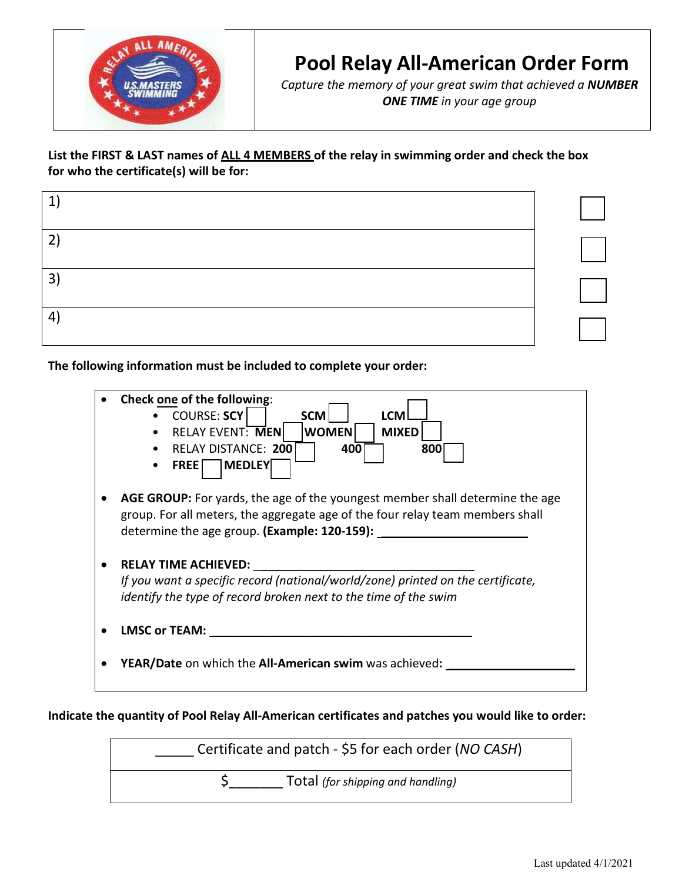

# **Pool Relay All-American Order Form**

*Capture the memory of your great swim that achieved a NUMBER ONE TIME in your age group*

## **List the FIRST & LAST names of ALL 4 MEMBERS of the relay in swimming order and check the box for who the certificate(s) will be for:**

| $\mathbf{1}$   |  |
|----------------|--|
| $2^{1}$        |  |
| $\mathbf{3}$   |  |
| $\overline{4}$ |  |

**The following information must be included to complete your order:** 



### **Indicate the quantity of Pool Relay All-American certificates and patches you would like to order:**